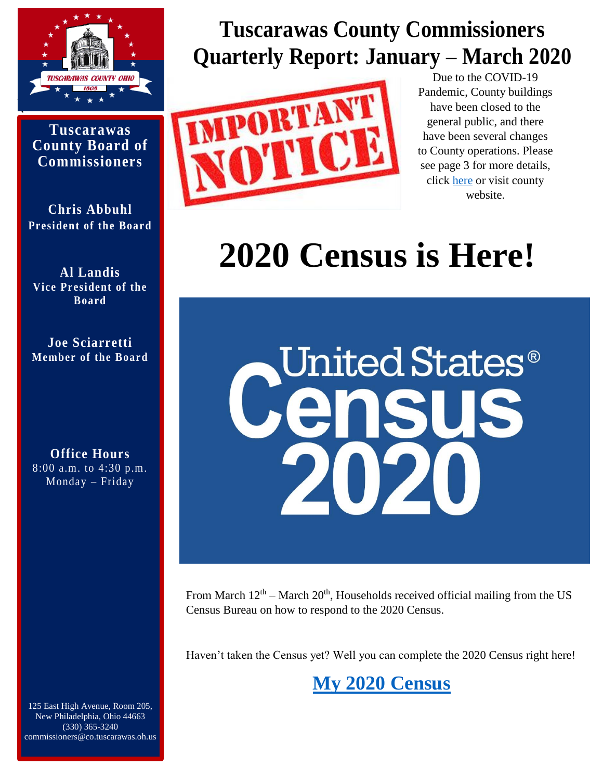

**Tuscarawas County Board of Commissioners**

**Chris Abbuhl President of the Board** 

**Al Landis Vice President of the Board** 

**Joe Sciarretti Member of the Board**

**Office Hours**  8:00 a.m. to 4:30 p.m. Monday – Friday

125 East High Avenue, Room 205, New Philadelphia, Ohio 44663 (330) 365-3240 commissioners@co.tuscarawas.oh.us

## **Tuscarawas County Commissioners Quarterly Report: January – March 2020**



Due to the COVID-19 Pandemic, County buildings have been closed to the general public, and there have been several changes to County operations. Please see page 3 for more details, click [here](https://www.co.tuscarawas.oh.us/) or visit county website.

# **2020 Census is Here!**



From March  $12<sup>th</sup>$  – March  $20<sup>th</sup>$ , Households received official mailing from the US Census Bureau on how to respond to the 2020 Census.

Haven't taken the Census yet? Well you can complete the 2020 Census right here!

## **[My 2020 Census](https://my2020census.gov/)**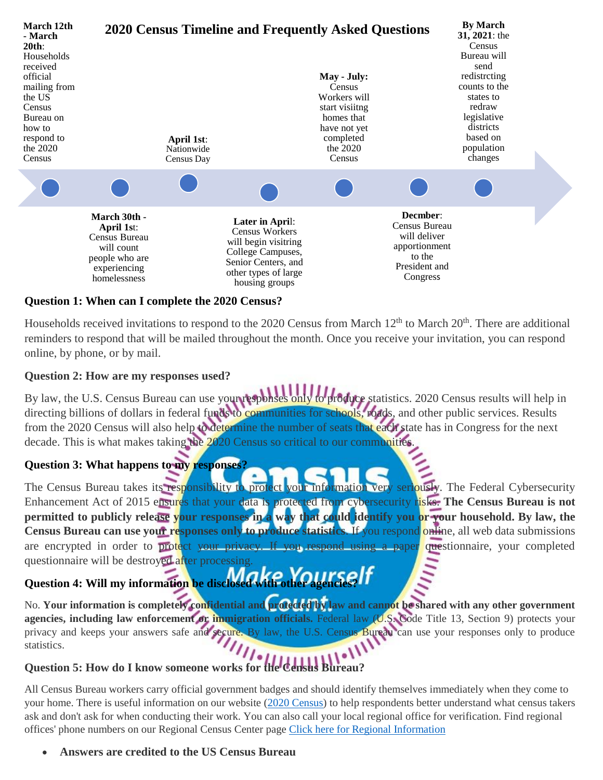

#### **Question 1: When can I complete the 2020 Census?**

Households received invitations to respond to the 2020 Census from March 12<sup>th</sup> to March 20<sup>th</sup>. There are additional reminders to respond that will be mailed throughout the month. Once you receive your invitation, you can respond online, by phone, or by mail.

#### **Question 2: How are my responses used?**

By law, the U.S. Census Bureau can use your responses only to produce statistics. 2020 Census results will help in directing billions of dollars in federal funds to communities for schools, roads, and other public services. Results from the 2020 Census will also help to determine the number of seats that each state has in Congress for the next decade. This is what makes taking the 2020 Census so critical to our communities

#### **Question 3: What happens to my responses?**

The Census Bureau takes its responsibility to protect your information very seriously. The Federal Cybersecurity Enhancement Act of 2015 ensures that your data is protected from cybersecurity risks. **The Census Bureau is not permitted to publicly release your responses in a way that could identify you or your household. By law, the Census Bureau can use your responses only to produce statistics**. If you respond online, all web data submissions are encrypted in order to protect your privacy. If you respond using a paper questionnaire, your completed questionnaire will be destroyed after processing.

# Question 4: Will my information be disclosed.

No. **Your information is completely confidential and protected by law and cannot be shared with any other government agencies, including law enforcement or immigration officials.** Federal law (U.S. Code Title 13, Section 9) protects your privacy and keeps your answers safe and secure. By law, the U.S. Census Bureau can use your responses only to produce statistics.

#### Question 5: How do I know someone works for the Census Bureau

All Census Bureau workers carry official government badges and should identify themselves immediately when they come to your home. There is useful information on our website [\(2020 Census\)](https://2020census.gov/) to help respondents better understand what [census takers](https://2020census.gov/en/census-takers.html) ask and don't ask for when conducting their work. You can also call your local regional office for verification. Find regional offices' phone numbers on our [Regional Census Center](https://2020census.gov/en/contact-us/rcc.html) page [Click here for Regional Information](https://www.census.gov/about/regions/philadelphia.html)

**Answers are credited to the US Census Bureau**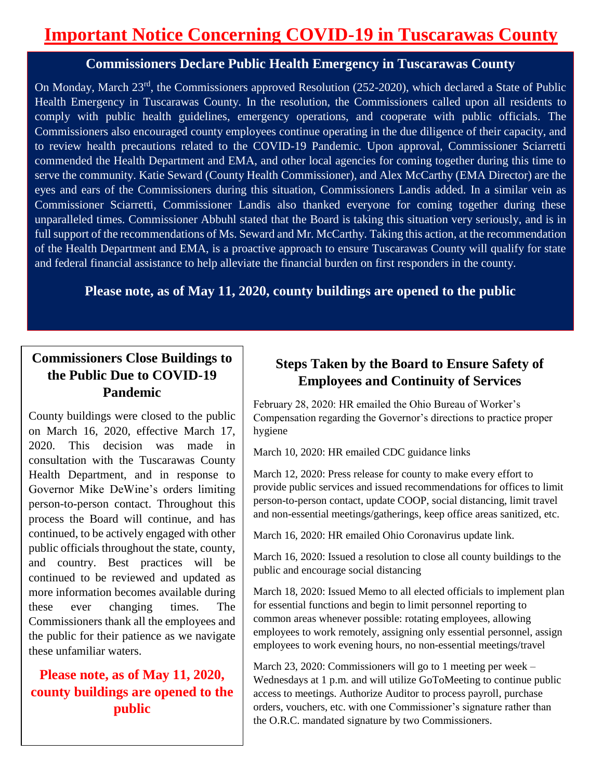### **Important Notice Concerning COVID-19 in Tuscarawas County**

#### **Commissioners Declare Public Health Emergency in Tuscarawas County**

On Monday, March 23rd, the Commissioners approved Resolution (252-2020), which declared a State of Public Health Emergency in Tuscarawas County. In the resolution, the Commissioners called upon all residents to comply with public health guidelines, emergency operations, and cooperate with public officials. The Commissioners also encouraged county employees continue operating in the due diligence of their capacity, and to review health precautions related to the COVID-19 Pandemic. Upon approval, Commissioner Sciarretti commended the Health Department and EMA, and other local agencies for coming together during this time to serve the community. Katie Seward (County Health Commissioner), and Alex McCarthy (EMA Director) are the eyes and ears of the Commissioners during this situation, Commissioners Landis added. In a similar vein as Commissioner Sciarretti, Commissioner Landis also thanked everyone for coming together during these unparalleled times. Commissioner Abbuhl stated that the Board is taking this situation very seriously, and is in full support of the recommendations of Ms. Seward and Mr. McCarthy. Taking this action, at the recommendation of the Health Department and EMA, is a proactive approach to ensure Tuscarawas County will qualify for state and federal financial assistance to help alleviate the financial burden on first responders in the county.

#### **Please note, as of May 11, 2020, county buildings are opened to the public**

#### **Commissioners Close Buildings to the Public Due to COVID-19 Pandemic**

 $\Bigg\}$ 

County buildings were closed to the public on March 16, 2020, effective March 17, 2020. This decision was made in consultation with the Tuscarawas County Health Department, and in response to Governor Mike DeWine's orders limiting person-to-person contact. Throughout this process the Board will continue, and has continued, to be actively engaged with other public officials throughout the state, county, and country. Best practices will be continued to be reviewed and updated as more information becomes available during these ever changing times. The Commissioners thank all the employees and the public for their patience as we navigate these unfamiliar waters.

**Please note, as of May 11, 2020, county buildings are opened to the public**

#### **Steps Taken by the Board to Ensure Safety of Employees and Continuity of Services**

February 28, 2020: HR emailed the Ohio Bureau of Worker's Compensation regarding the Governor's directions to practice proper hygiene

March 10, 2020: HR emailed CDC guidance links

March 12, 2020: Press release for county to make every effort to provide public services and issued recommendations for offices to limit person-to-person contact, update COOP, social distancing, limit travel and non-essential meetings/gatherings, keep office areas sanitized, etc.

March 16, 2020: HR emailed Ohio Coronavirus update link.

March 16, 2020: Issued a resolution to close all county buildings to the public and encourage social distancing

March 18, 2020: Issued Memo to all elected officials to implement plan for essential functions and begin to limit personnel reporting to common areas whenever possible: rotating employees, allowing employees to work remotely, assigning only essential personnel, assign employees to work evening hours, no non-essential meetings/travel

March 23, 2020: Commissioners will go to 1 meeting per week – Wednesdays at 1 p.m. and will utilize GoToMeeting to continue public access to meetings. Authorize Auditor to process payroll, purchase orders, vouchers, etc. with one Commissioner's signature rather than the O.R.C. mandated signature by two Commissioners.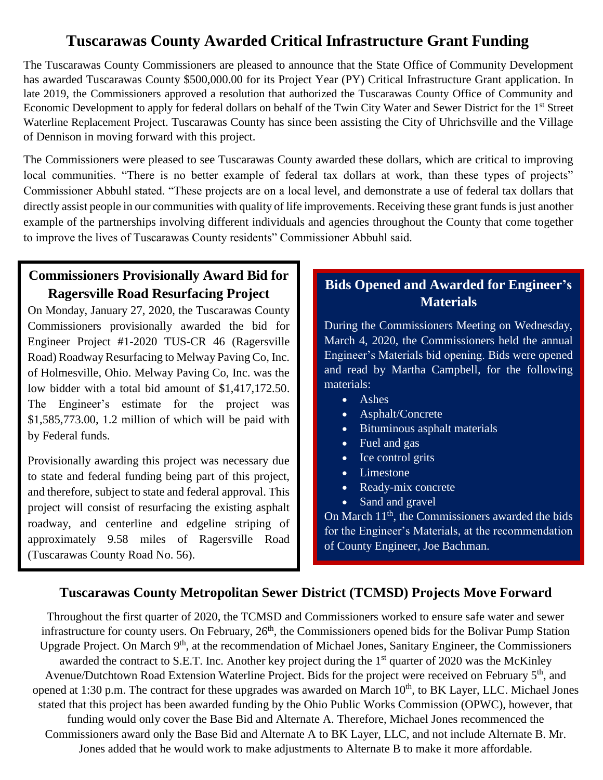#### **Tuscarawas County Awarded Critical Infrastructure Grant Funding**

The Tuscarawas County Commissioners are pleased to announce that the State Office of Community Development has awarded Tuscarawas County \$500,000.00 for its Project Year (PY) Critical Infrastructure Grant application. In late 2019, the Commissioners approved a resolution that authorized the Tuscarawas County Office of Community and Economic Development to apply for federal dollars on behalf of the Twin City Water and Sewer District for the 1<sup>st</sup> Street Waterline Replacement Project. Tuscarawas County has since been assisting the City of Uhrichsville and the Village of Dennison in moving forward with this project.

The Commissioners were pleased to see Tuscarawas County awarded these dollars, which are critical to improving local communities. "There is no better example of federal tax dollars at work, than these types of projects" Commissioner Abbuhl stated. "These projects are on a local level, and demonstrate a use of federal tax dollars that directly assist people in our communities with quality of life improvements. Receiving these grant funds is just another example of the partnerships involving different individuals and agencies throughout the County that come together to improve the lives of Tuscarawas County residents" Commissioner Abbuhl said.

#### **Commissioners Provisionally Award Bid for Ragersville Road Resurfacing Project**

On Monday, January 27, 2020, the Tuscarawas County Commissioners provisionally awarded the bid for Engineer Project #1-2020 TUS-CR 46 (Ragersville Road) Roadway Resurfacing to Melway Paving Co, Inc. of Holmesville, Ohio. Melway Paving Co, Inc. was the low bidder with a total bid amount of \$1,417,172.50. The Engineer's estimate for the project was \$1,585,773.00, 1.2 million of which will be paid with by Federal funds.

Provisionally awarding this project was necessary due to state and federal funding being part of this project, and therefore, subject to state and federal approval. This project will consist of resurfacing the existing asphalt roadway, and centerline and edgeline striping of approximately 9.58 miles of Ragersville Road (Tuscarawas County Road No. 56).

#### **Bids Opened and Awarded for Engineer's Materials**

During the Commissioners Meeting on Wednesday, March 4, 2020, the Commissioners held the annual Engineer's Materials bid opening. Bids were opened and read by Martha Campbell, for the following materials:

- Ashes
- Asphalt/Concrete
- Bituminous asphalt materials
- Fuel and gas
- Ice control grits
- Limestone
- Ready-mix concrete
- Sand and gravel

On March  $11<sup>th</sup>$ , the Commissioners awarded the bids for the Engineer's Materials, at the recommendation of County Engineer, Joe Bachman.

#### **Tuscarawas County Metropolitan Sewer District (TCMSD) Projects Move Forward**

Throughout the first quarter of 2020, the TCMSD and Commissioners worked to ensure safe water and sewer infrastructure for county users. On February, 26<sup>th</sup>, the Commissioners opened bids for the Bolivar Pump Station Upgrade Project. On March 9<sup>th</sup>, at the recommendation of Michael Jones, Sanitary Engineer, the Commissioners awarded the contract to S.E.T. Inc. Another key project during the 1<sup>st</sup> quarter of 2020 was the McKinley Avenue/Dutchtown Road Extension Waterline Project. Bids for the project were received on February 5<sup>th</sup>, and opened at 1:30 p.m. The contract for these upgrades was awarded on March 10<sup>th</sup>, to BK Layer, LLC. Michael Jones stated that this project has been awarded funding by the Ohio Public Works Commission (OPWC), however, that funding would only cover the Base Bid and Alternate A. Therefore, Michael Jones recommenced the Commissioners award only the Base Bid and Alternate A to BK Layer, LLC, and not include Alternate B. Mr. Jones added that he would work to make adjustments to Alternate B to make it more affordable.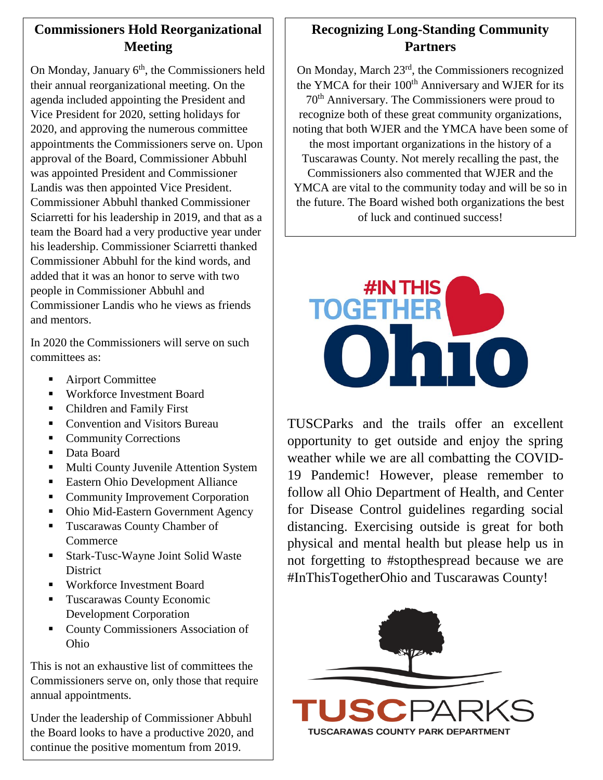#### **Commissioners Hold Reorganizational Meeting**

On Monday, January 6<sup>th</sup>, the Commissioners held their annual reorganizational meeting. On the agenda included appointing the President and Vice President for 2020, setting holidays for 2020, and approving the numerous committee appointments the Commissioners serve on. Upon approval of the Board, Commissioner Abbuhl was appointed President and Commissioner Landis was then appointed Vice President. Commissioner Abbuhl thanked Commissioner Sciarretti for his leadership in 2019, and that as a team the Board had a very productive year under his leadership. Commissioner Sciarretti thanked Commissioner Abbuhl for the kind words, and added that it was an honor to serve with two people in Commissioner Abbuhl and Commissioner Landis who he views as friends and mentors.

In 2020 the Commissioners will serve on such committees as:

- Airport Committee
- Workforce Investment Board
- Children and Family First
- Convention and Visitors Bureau
- Community Corrections
- Data Board
- **Multi County Juvenile Attention System**
- Eastern Ohio Development Alliance
- Community Improvement Corporation
- Ohio Mid-Eastern Government Agency
- **Tuscarawas County Chamber of Commerce**
- Stark-Tusc-Wayne Joint Solid Waste **District**
- Workforce Investment Board
- **Tuscarawas County Economic** Development Corporation
- **County Commissioners Association of** Ohio

This is not an exhaustive list of committees the Commissioners serve on, only those that require annual appointments.

Under the leadership of Commissioner Abbuhl the Board looks to have a productive 2020, and continue the positive momentum from 2019.

#### **Recognizing Long-Standing Community Partners**

On Monday, March 23rd, the Commissioners recognized the YMCA for their  $100<sup>th</sup>$  Anniversary and WJER for its 70th Anniversary. The Commissioners were proud to recognize both of these great community organizations, noting that both WJER and the YMCA have been some of the most important organizations in the history of a Tuscarawas County. Not merely recalling the past, the Commissioners also commented that WJER and the YMCA are vital to the community today and will be so in the future. The Board wished both organizations the best of luck and continued success!



TUSCParks and the trails offer an excellent opportunity to get outside and enjoy the spring weather while we are all combatting the COVID-19 Pandemic! However, please remember to follow all Ohio Department of Health, and Center for Disease Control guidelines regarding social distancing. Exercising outside is great for both physical and mental health but please help us in not forgetting to #stopthespread because we are #InThisTogetherOhio and Tuscarawas County!